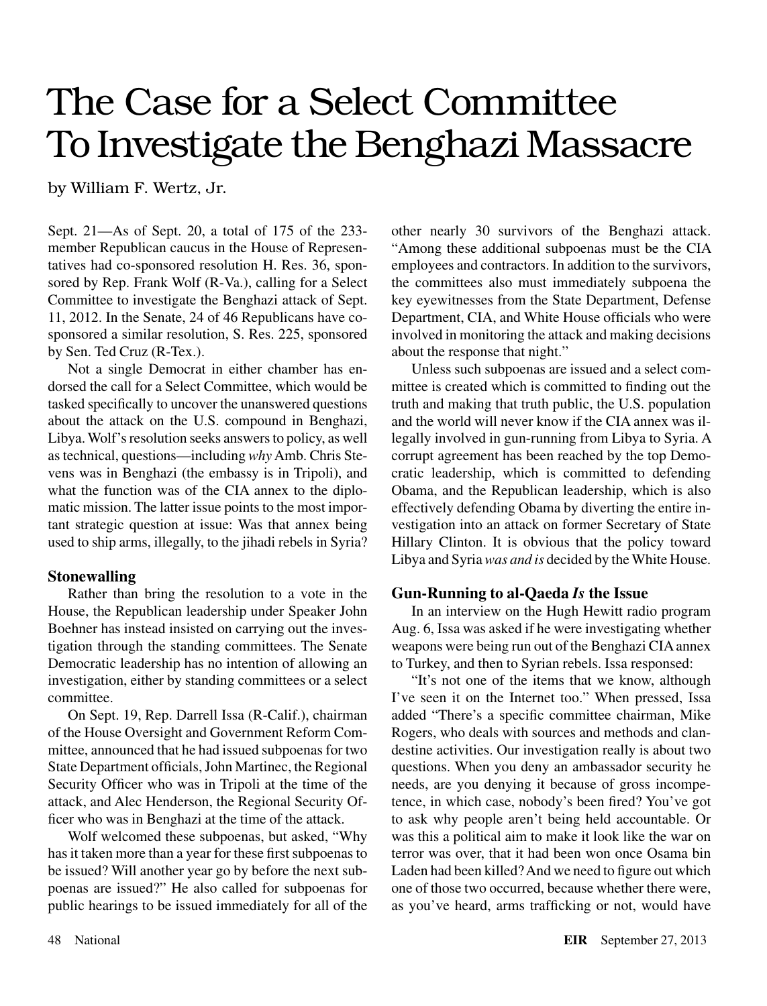## The Case for a Select Committee To Investigate the Benghazi Massacre

by William F. Wertz, Jr.

Sept. 21—As of Sept. 20, a total of 175 of the 233 member Republican caucus in the House of Representatives had co-sponsored resolution H. Res. 36, sponsored by Rep. Frank Wolf (R-Va.), calling for a Select Committee to investigate the Benghazi attack of Sept. 11, 2012. In the Senate, 24 of 46 Republicans have cosponsored a similar resolution, S. Res. 225, sponsored by Sen. Ted Cruz (R-Tex.).

Not a single Democrat in either chamber has endorsed the call for a Select Committee, which would be tasked specifically to uncover the unanswered questions about the attack on the U.S. compound in Benghazi, Libya. Wolf's resolution seeks answers to policy, as well as technical, questions—including *why* Amb. Chris Stevens was in Benghazi (the embassy is in Tripoli), and what the function was of the CIA annex to the diplomatic mission. The latter issue points to the most important strategic question at issue: Was that annex being used to ship arms, illegally, to the jihadi rebels in Syria?

## **Stonewalling**

Rather than bring the resolution to a vote in the House, the Republican leadership under Speaker John Boehner has instead insisted on carrying out the investigation through the standing committees. The Senate Democratic leadership has no intention of allowing an investigation, either by standing committees or a select committee.

On Sept. 19, Rep. Darrell Issa (R-Calif.), chairman of the House Oversight and Government Reform Committee, announced that he had issued subpoenas for two State Department officials, John Martinec, the Regional Security Officer who was in Tripoli at the time of the attack, and Alec Henderson, the Regional Security Officer who was in Benghazi at the time of the attack.

Wolf welcomed these subpoenas, but asked, "Why has it taken more than a year for these first subpoenas to be issued? Will another year go by before the next subpoenas are issued?" He also called for subpoenas for public hearings to be issued immediately for all of the other nearly 30 survivors of the Benghazi attack. "Among these additional subpoenas must be the CIA employees and contractors. In addition to the survivors, the committees also must immediately subpoena the key eyewitnesses from the State Department, Defense Department, CIA, and White House officials who were involved in monitoring the attack and making decisions about the response that night."

Unless such subpoenas are issued and a select committee is created which is committed to finding out the truth and making that truth public, the U.S. population and the world will never know if the CIA annex was illegally involved in gun-running from Libya to Syria. A corrupt agreement has been reached by the top Democratic leadership, which is committed to defending Obama, and the Republican leadership, which is also effectively defending Obama by diverting the entire investigation into an attack on former Secretary of State Hillary Clinton. It is obvious that the policy toward Libya and Syria *was and is* decided by the White House.

## **Gun-Running to al-Qaeda** *Is* **the Issue**

In an interview on the Hugh Hewitt radio program Aug. 6, Issa was asked if he were investigating whether weapons were being run out of the Benghazi CIA annex to Turkey, and then to Syrian rebels. Issa responsed:

"It's not one of the items that we know, although I've seen it on the Internet too." When pressed, Issa added "There's a specific committee chairman, Mike Rogers, who deals with sources and methods and clandestine activities. Our investigation really is about two questions. When you deny an ambassador security he needs, are you denying it because of gross incompetence, in which case, nobody's been fired? You've got to ask why people aren't being held accountable. Or was this a political aim to make it look like the war on terror was over, that it had been won once Osama bin Laden had been killed? And we need to figure out which one of those two occurred, because whether there were, as you've heard, arms trafficking or not, would have